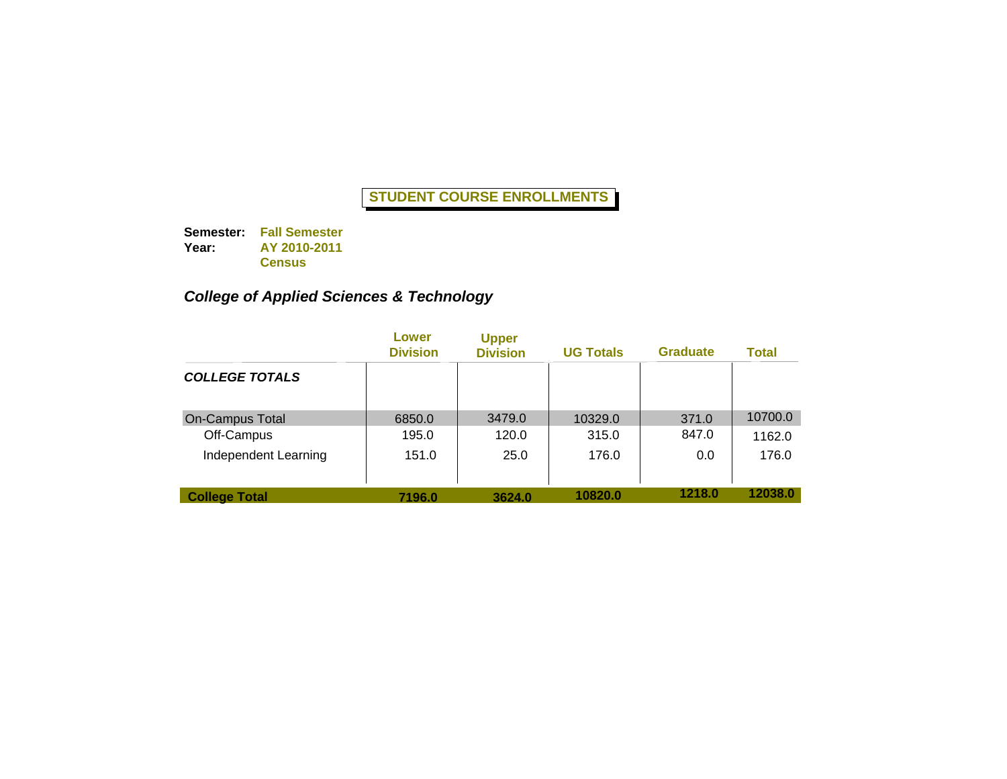**Semester: Fall Semester Year: AY 2010-2011 Census**

# *College of Applied Sciences & Technology*

|                        | Lower<br><b>Division</b> | <b>Upper</b><br><b>Division</b> | <b>UG Totals</b> | <b>Graduate</b> | Total   |
|------------------------|--------------------------|---------------------------------|------------------|-----------------|---------|
| <b>COLLEGE TOTALS</b>  |                          |                                 |                  |                 |         |
| <b>On-Campus Total</b> | 6850.0                   | 3479.0                          | 10329.0          | 371.0           | 10700.0 |
| Off-Campus             | 195.0                    | 120.0                           | 315.0            | 847.0           | 1162.0  |
| Independent Learning   | 151.0                    | 25.0                            | 176.0            | 0.0             | 176.0   |
| <b>College Total</b>   | 7196.0                   | 3624.0                          | 10820.0          | 1218.0          | 12038.0 |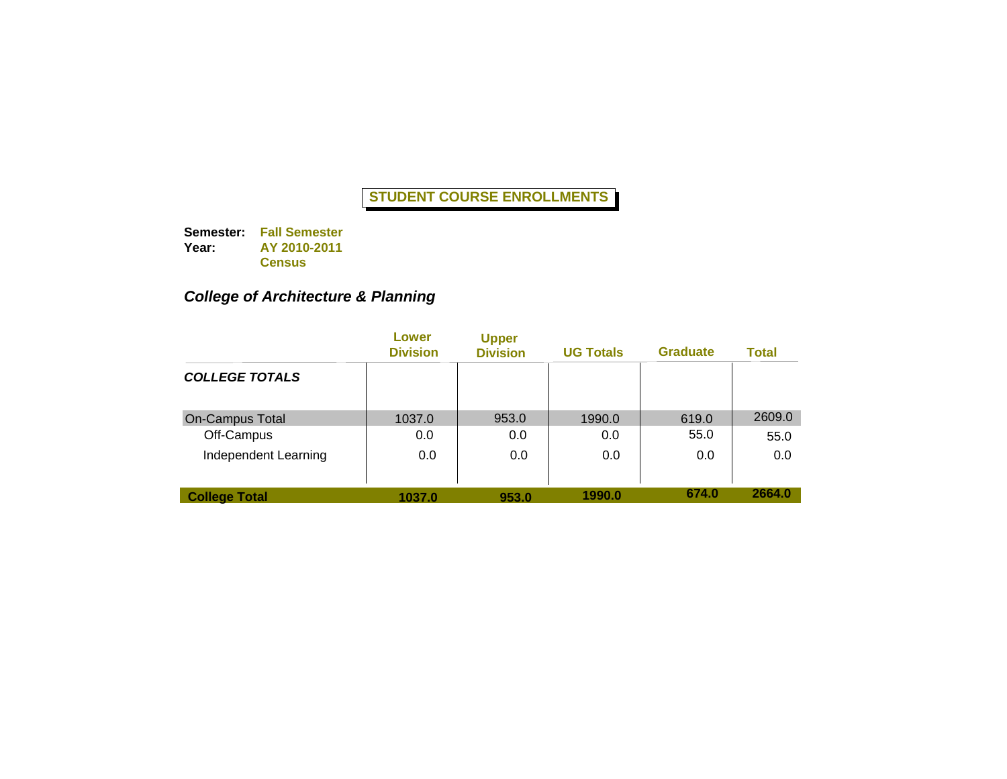**Semester: Fall Semester Year: AY 2010-2011 Census**

## *College of Architecture & Planning*

|                        | Lower<br><b>Division</b> | <b>Upper</b><br><b>Division</b> | <b>UG Totals</b> | <b>Graduate</b> | Total  |
|------------------------|--------------------------|---------------------------------|------------------|-----------------|--------|
| <b>COLLEGE TOTALS</b>  |                          |                                 |                  |                 |        |
| <b>On-Campus Total</b> | 1037.0                   | 953.0                           | 1990.0           | 619.0           | 2609.0 |
| Off-Campus             | 0.0                      | 0.0                             | 0.0              | 55.0            | 55.0   |
| Independent Learning   | 0.0                      | 0.0                             | 0.0              | 0.0             | 0.0    |
| <b>College Total</b>   | 1037.0                   | 953.0                           | 1990.0           | 674.0           | 2664.0 |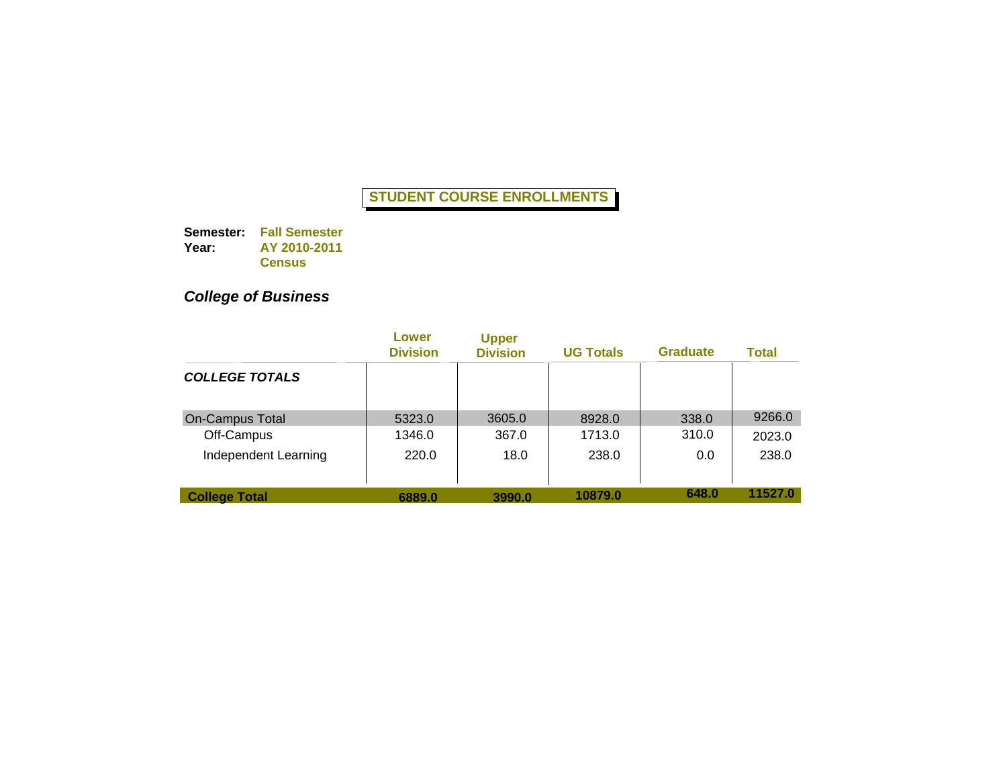**Semester: Fall Semester Year: AY 2010-2011 Census**

# *College of Business*

|                        | Lower<br><b>Division</b> | <b>Upper</b><br><b>Division</b> | <b>UG Totals</b> | <b>Graduate</b> | <b>Total</b> |
|------------------------|--------------------------|---------------------------------|------------------|-----------------|--------------|
| <b>COLLEGE TOTALS</b>  |                          |                                 |                  |                 |              |
| <b>On-Campus Total</b> | 5323.0                   | 3605.0                          | 8928.0           | 338.0           | 9266.0       |
| Off-Campus             | 1346.0                   | 367.0                           | 1713.0           | 310.0           | 2023.0       |
| Independent Learning   | 220.0                    | 18.0                            | 238.0            | 0.0             | 238.0        |
| <b>College Total</b>   | 6889.0                   | 3990.0                          | 10879.0          | 648.0           | 11527.0      |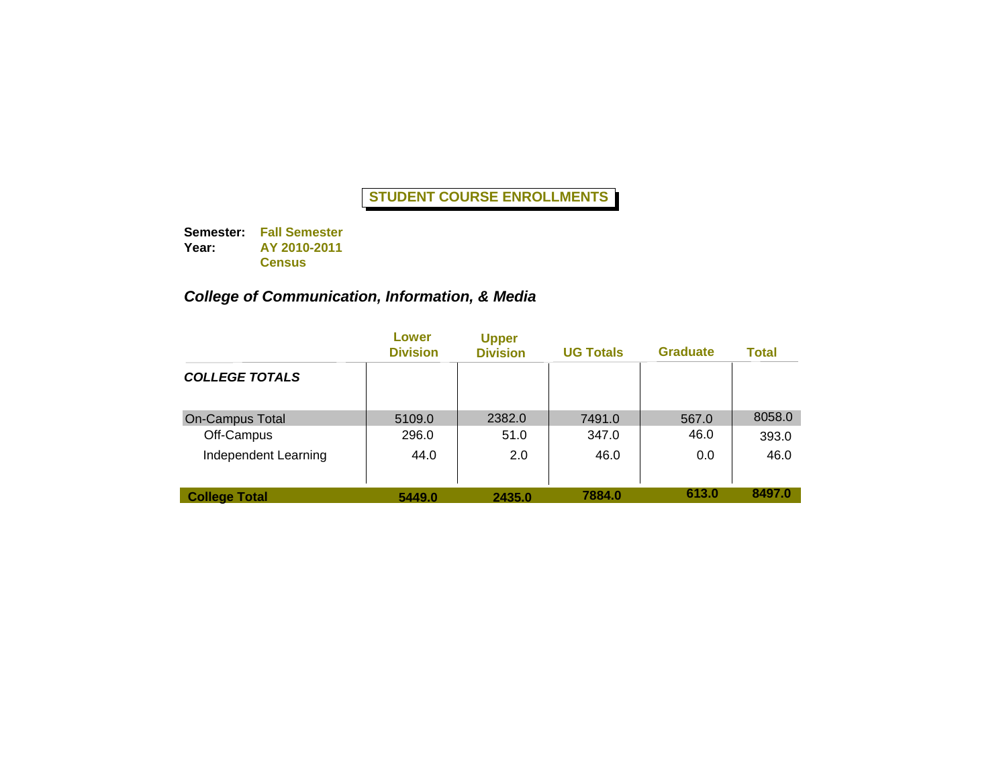**Semester: Fall Semester Year: AY 2010-2011 Census**

## *College of Communication, Information, & Media*

|                        | Lower<br><b>Division</b> | <b>Upper</b><br><b>Division</b> | <b>UG Totals</b> | <b>Graduate</b> | Total  |
|------------------------|--------------------------|---------------------------------|------------------|-----------------|--------|
| <b>COLLEGE TOTALS</b>  |                          |                                 |                  |                 |        |
| <b>On-Campus Total</b> | 5109.0                   | 2382.0                          | 7491.0           | 567.0           | 8058.0 |
| Off-Campus             | 296.0                    | 51.0                            | 347.0            | 46.0            | 393.0  |
| Independent Learning   | 44.0                     | 2.0                             | 46.0             | 0.0             | 46.0   |
| <b>College Total</b>   | 5449.0                   | 2435.0                          | 7884.0           | 613.0           | 8497.0 |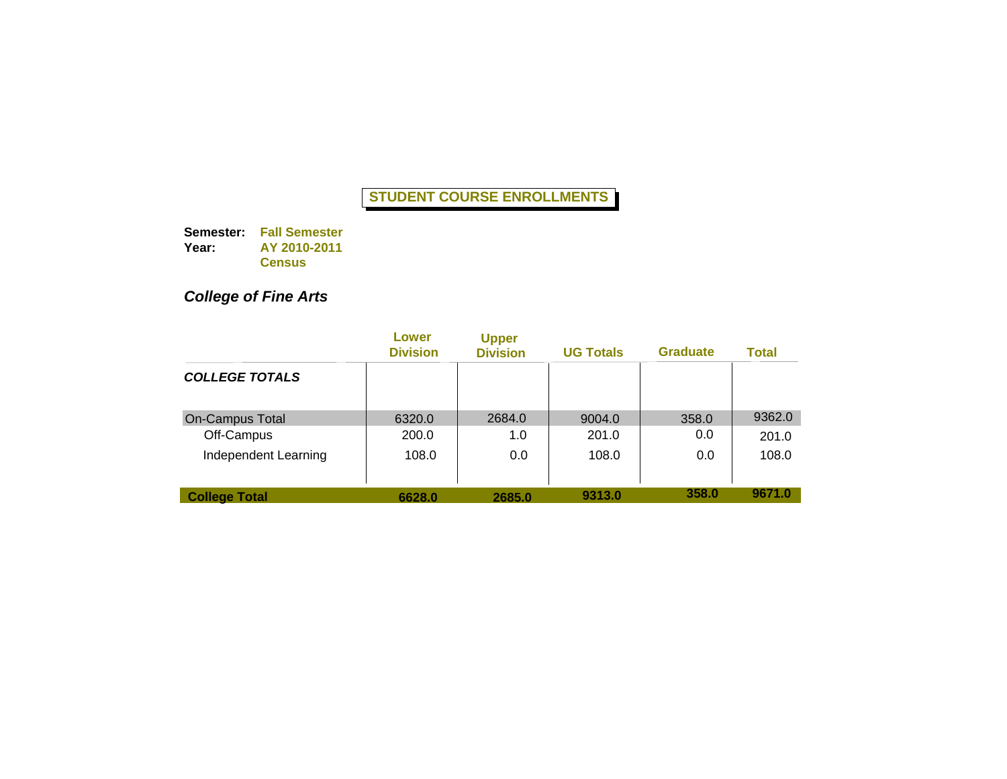**Semester: Fall Semester Year: AY 2010-2011 Census**

# *College of Fine Arts*

|                        | Lower<br><b>Division</b> | <b>Upper</b><br><b>Division</b> | <b>UG Totals</b> | <b>Graduate</b> | Total  |
|------------------------|--------------------------|---------------------------------|------------------|-----------------|--------|
| <b>COLLEGE TOTALS</b>  |                          |                                 |                  |                 |        |
| <b>On-Campus Total</b> | 6320.0                   | 2684.0                          | 9004.0           | 358.0           | 9362.0 |
| Off-Campus             | 200.0                    | 1.0                             | 201.0            | 0.0             | 201.0  |
| Independent Learning   | 108.0                    | 0.0                             | 108.0            | 0.0             | 108.0  |
| <b>College Total</b>   | 6628.0                   | 2685.0                          | 9313.0           | 358.0           | 9671.0 |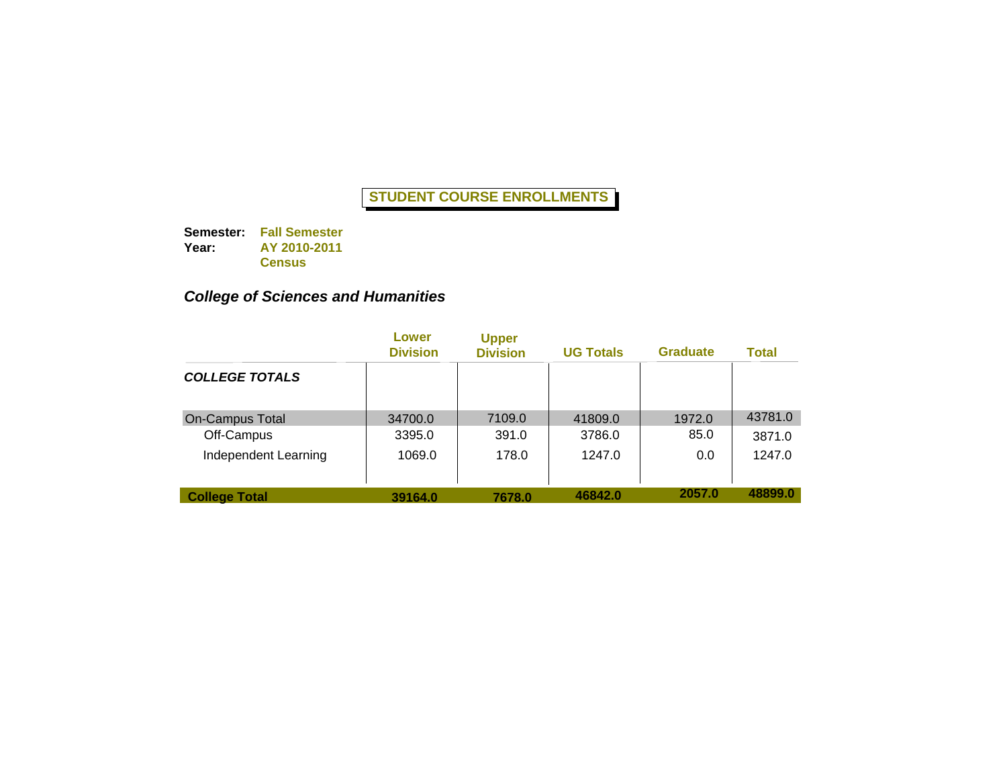**Semester: Fall Semester Year: AY 2010-2011 Census**

## *College of Sciences and Humanities*

|                        | Lower<br><b>Division</b> | <b>Upper</b><br><b>Division</b> | <b>UG Totals</b> | <b>Graduate</b> | Total   |
|------------------------|--------------------------|---------------------------------|------------------|-----------------|---------|
| <b>COLLEGE TOTALS</b>  |                          |                                 |                  |                 |         |
| <b>On-Campus Total</b> | 34700.0                  | 7109.0                          | 41809.0          | 1972.0          | 43781.0 |
| Off-Campus             | 3395.0                   | 391.0                           | 3786.0           | 85.0            | 3871.0  |
| Independent Learning   | 1069.0                   | 178.0                           | 1247.0           | 0.0             | 1247.0  |
| <b>College Total</b>   | 39164.0                  | 7678.0                          | 46842.0          | 2057.0          | 48899.0 |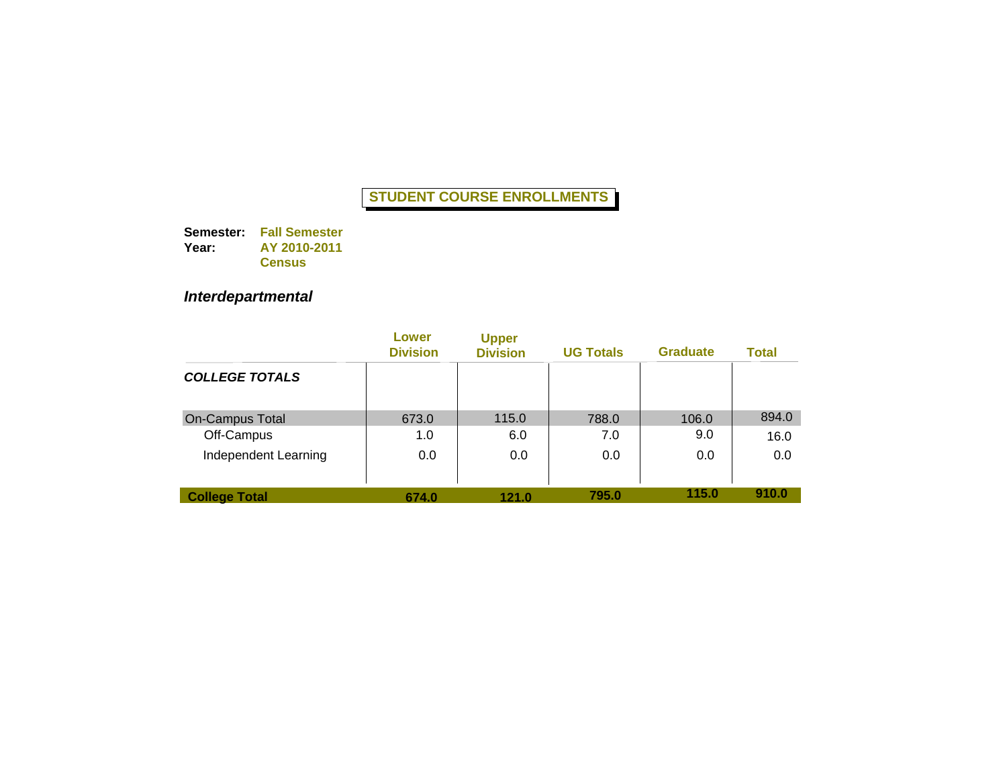**Semester: Fall Semester Year: AY 2010-2011 Census**

# *Interdepartmental*

|                        | Lower<br><b>Division</b> | <b>Upper</b><br><b>Division</b> | <b>UG Totals</b> | <b>Graduate</b> | <b>Total</b> |
|------------------------|--------------------------|---------------------------------|------------------|-----------------|--------------|
| <b>COLLEGE TOTALS</b>  |                          |                                 |                  |                 |              |
| <b>On-Campus Total</b> | 673.0                    | 115.0                           | 788.0            | 106.0           | 894.0        |
| Off-Campus             | 1.0                      | 6.0                             | 7.0              | 9.0             | 16.0         |
| Independent Learning   | 0.0                      | 0.0                             | 0.0              | 0.0             | 0.0          |
| <b>College Total</b>   | 674.0                    | 121.0                           | 795.0            | 115.0           | 910.0        |